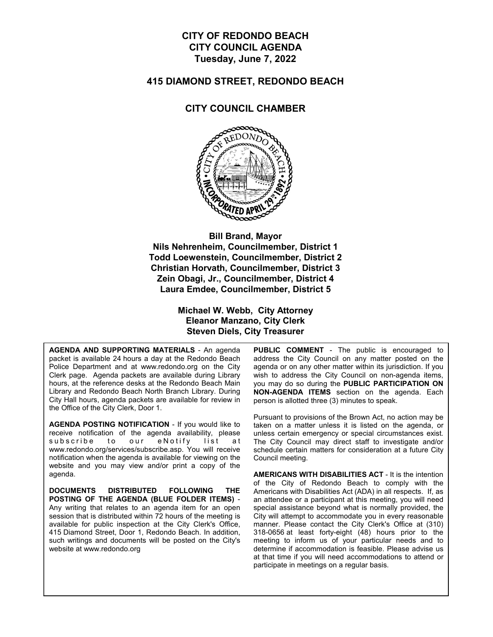## **CITY OF REDONDO BEACH CITY COUNCIL AGENDA Tuesday, June 7, 2022**

#### **415 DIAMOND STREET, REDONDO BEACH**

### **CITY COUNCIL CHAMBER**



**Bill Brand, Mayor Nils Nehrenheim, Councilmember, District 1 Todd Loewenstein, Councilmember, District 2 Christian Horvath, Councilmember, District 3 Zein Obagi, Jr., Councilmember, District 4 Laura Emdee, Councilmember, District 5**

> **Michael W. Webb, City Attorney Eleanor Manzano, City Clerk Steven Diels, City Treasurer**

**AGENDA AND SUPPORTING MATERIALS** - An agenda packet is available 24 hours a day at the Redondo Beach Police Department and at www.redondo.org on the City Clerk page. Agenda packets are available during Library hours, at the reference desks at the Redondo Beach Main Library and Redondo Beach North Branch Library. During City Hall hours, agenda packets are available for review in the Office of the City Clerk, Door 1.

**AGENDA POSTING NOTIFICATION** - If you would like to receive notification of the agenda availability, please subscribe to our eNotify list at www.redondo.org/services/subscribe.asp. You will receive notification when the agenda is available for viewing on the website and you may view and/or print a copy of the agenda.

**DOCUMENTS DISTRIBUTED FOLLOWING THE POSTING OF THE AGENDA (BLUE FOLDER ITEMS)** - Any writing that relates to an agenda item for an open session that is distributed within 72 hours of the meeting is available for public inspection at the City Clerk's Office, 415 Diamond Street, Door 1, Redondo Beach. In addition, such writings and documents will be posted on the City's website at www.redondo.org

**PUBLIC COMMENT** - The public is encouraged to address the City Council on any matter posted on the agenda or on any other matter within its jurisdiction. If you wish to address the City Council on non-agenda items, you may do so during the **PUBLIC PARTICIPATION ON NON-AGENDA ITEMS** section on the agenda. Each person is allotted three (3) minutes to speak.

Pursuant to provisions of the Brown Act, no action may be taken on a matter unless it is listed on the agenda, or unless certain emergency or special circumstances exist. The City Council may direct staff to investigate and/or schedule certain matters for consideration at a future City Council meeting.

**AMERICANS WITH DISABILITIES ACT** - It is the intention of the City of Redondo Beach to comply with the Americans with Disabilities Act (ADA) in all respects. If, as an attendee or a participant at this meeting, you will need special assistance beyond what is normally provided, the City will attempt to accommodate you in every reasonable manner. Please contact the City Clerk's Office at (310) 318-0656 at least forty-eight (48) hours prior to the meeting to inform us of your particular needs and to determine if accommodation is feasible. Please advise us at that time if you will need accommodations to attend or participate in meetings on a regular basis.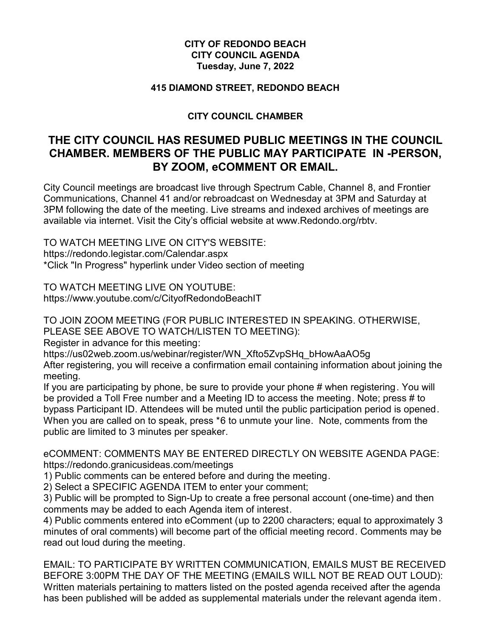## **CITY OF REDONDO BEACH CITY COUNCIL AGENDA Tuesday, June 7, 2022**

### **415 DIAMOND STREET, REDONDO BEACH**

## **CITY COUNCIL CHAMBER**

# **THE CITY COUNCIL HAS RESUMED PUBLIC MEETINGS IN THE COUNCIL CHAMBER. MEMBERS OF THE PUBLIC MAY PARTICIPATE IN -PERSON, BY ZOOM, eCOMMENT OR EMAIL.**

City Council meetings are broadcast live through Spectrum Cable, Channel 8, and Frontier Communications, Channel 41 and/or rebroadcast on Wednesday at 3PM and Saturday at 3PM following the date of the meeting. Live streams and indexed archives of meetings are available via internet. Visit the City's official website at www.Redondo.org/rbtv.

TO WATCH MEETING LIVE ON CITY'S WEBSITE: https://redondo.legistar.com/Calendar.aspx \*Click "In Progress" hyperlink under Video section of meeting

TO WATCH MEETING LIVE ON YOUTUBE: https://www.youtube.com/c/CityofRedondoBeachIT

TO JOIN ZOOM MEETING (FOR PUBLIC INTERESTED IN SPEAKING. OTHERWISE, PLEASE SEE ABOVE TO WATCH/LISTEN TO MEETING):

Register in advance for this meeting:

https://us02web.zoom.us/webinar/register/WN\_Xfto5ZvpSHq\_bHowAaAO5g

After registering, you will receive a confirmation email containing information about joining the meeting.

If you are participating by phone, be sure to provide your phone # when registering. You will be provided a Toll Free number and a Meeting ID to access the meeting. Note; press # to bypass Participant ID. Attendees will be muted until the public participation period is opened. When you are called on to speak, press \*6 to unmute your line. Note, comments from the public are limited to 3 minutes per speaker.

eCOMMENT: COMMENTS MAY BE ENTERED DIRECTLY ON WEBSITE AGENDA PAGE: https://redondo.granicusideas.com/meetings

1) Public comments can be entered before and during the meeting.

2) Select a SPECIFIC AGENDA ITEM to enter your comment;

3) Public will be prompted to Sign-Up to create a free personal account (one-time) and then comments may be added to each Agenda item of interest.

4) Public comments entered into eComment (up to 2200 characters; equal to approximately 3 minutes of oral comments) will become part of the official meeting record. Comments may be read out loud during the meeting.

EMAIL: TO PARTICIPATE BY WRITTEN COMMUNICATION, EMAILS MUST BE RECEIVED BEFORE 3:00PM THE DAY OF THE MEETING (EMAILS WILL NOT BE READ OUT LOUD): Written materials pertaining to matters listed on the posted agenda received after the agenda has been published will be added as supplemental materials under the relevant agenda item.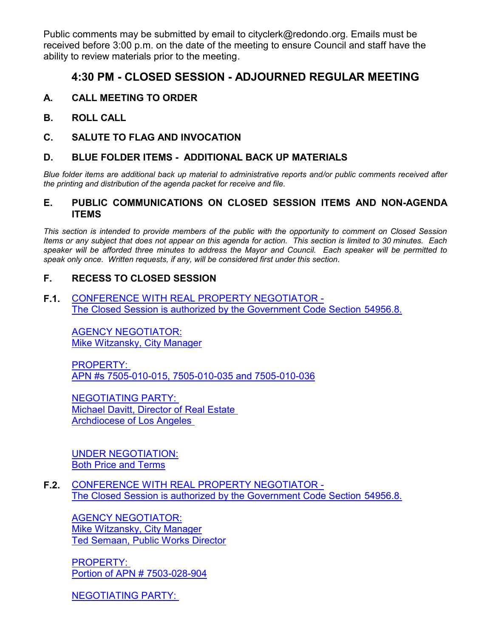Public comments may be submitted by email to cityclerk@redondo.org. Emails must be received before 3:00 p.m. on the date of the meeting to ensure Council and staff have the ability to review materials prior to the meeting.

# **4:30 PM - CLOSED SESSION - ADJOURNED REGULAR MEETING**

- **A. CALL MEETING TO ORDER**
- **B. ROLL CALL**
- **C. SALUTE TO FLAG AND INVOCATION**

### **D. BLUE FOLDER ITEMS - ADDITIONAL BACK UP MATERIALS**

*Blue folder items are additional back up material to administrative reports and/or public comments received after the printing and distribution of the agenda packet for receive and file.*

### **E. PUBLIC COMMUNICATIONS ON CLOSED SESSION ITEMS AND NON-AGENDA ITEMS**

*This section is intended to provide members of the public with the opportunity to comment on Closed Session Items or any subject that does not appear on this agenda for action. This section is limited to 30 minutes. Each speaker will be afforded three minutes to address the Mayor and Council. Each speaker will be permitted to speak only once. Written requests, if any, will be considered first under this section.*

### **F. RECESS TO CLOSED SESSION**

**F.1.** CONFERENCE WITH REAL PROPERTY NEGOTIATOR - [The Closed Session is authorized by the Government Code Section 54956.8.](http://redondo.legistar.com/gateway.aspx?m=l&id=/matter.aspx?key=5778)

AGENCY NEGOTIATOR: Mike Witzansky, City Manager

PROPERTY: APN #s 7505-010-015, 7505-010-035 and 7505-010-036

NEGOTIATING PARTY: Michael Davitt, Director of Real Estate Archdiocese of Los Angeles

UNDER NEGOTIATION: Both Price and Terms

**F.2.** CONFERENCE WITH REAL PROPERTY NEGOTIATOR - [The Closed Session is authorized by the Government Code Section 54956.8.](http://redondo.legistar.com/gateway.aspx?m=l&id=/matter.aspx?key=5783)

AGENCY NEGOTIATOR: Mike Witzansky, City Manager Ted Semaan, Public Works Director

PROPERTY: Portion of APN # 7503-028-904

NEGOTIATING PARTY: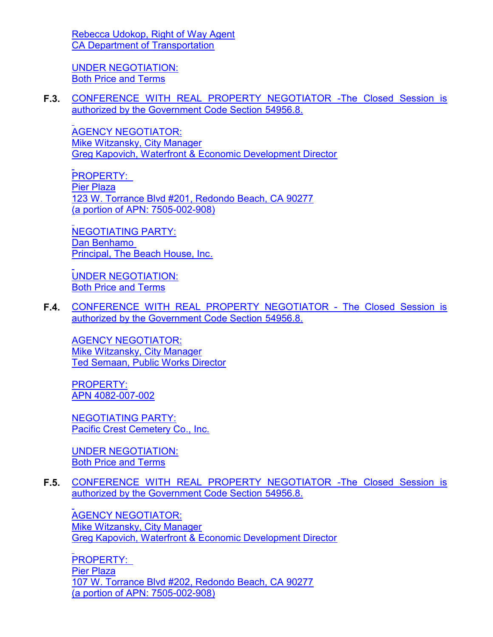[Rebecca Udokop, Right of Way Agent](http://redondo.legistar.com/gateway.aspx?m=l&id=/matter.aspx?key=5783) CA Department of Transportation

UNDER NEGOTIATION: Both Price and Terms

**F.3.** [CONFERENCE WITH REAL PROPERTY NEGOTIATOR -The Closed Session is](http://redondo.legistar.com/gateway.aspx?m=l&id=/matter.aspx?key=5802) authorized by the Government Code Section 54956.8.

AGENCY NEGOTIATOR: Mike Witzansky, City Manager Greg Kapovich, Waterfront & Economic Development Director

PROPERTY: Pier Plaza 123 W. Torrance Blvd #201, Redondo Beach, CA 90277 (a portion of APN: 7505-002-908)

NEGOTIATING PARTY: Dan Benhamo Principal, The Beach House, Inc.

UNDER NEGOTIATION: Both Price and Terms

**F.4.** [CONFERENCE WITH REAL PROPERTY NEGOTIATOR - The Closed Session is](http://redondo.legistar.com/gateway.aspx?m=l&id=/matter.aspx?key=5805) authorized by the Government Code Section 54956.8.

AGENCY NEGOTIATOR: Mike Witzansky, City Manager Ted Semaan, Public Works Director

PROPERTY: APN 4082-007-002

NEGOTIATING PARTY: Pacific Crest Cemetery Co., Inc.

UNDER NEGOTIATION: Both Price and Terms

**F.5.** [CONFERENCE WITH REAL PROPERTY NEGOTIATOR -The Closed Session is](http://redondo.legistar.com/gateway.aspx?m=l&id=/matter.aspx?key=5807) authorized by the Government Code Section 54956.8.

AGENCY NEGOTIATOR: Mike Witzansky, City Manager Greg Kapovich, Waterfront & Economic Development Director

PROPERTY: Pier Plaza 107 W. Torrance Blvd #202, Redondo Beach, CA 90277 (a portion of APN: 7505-002-908)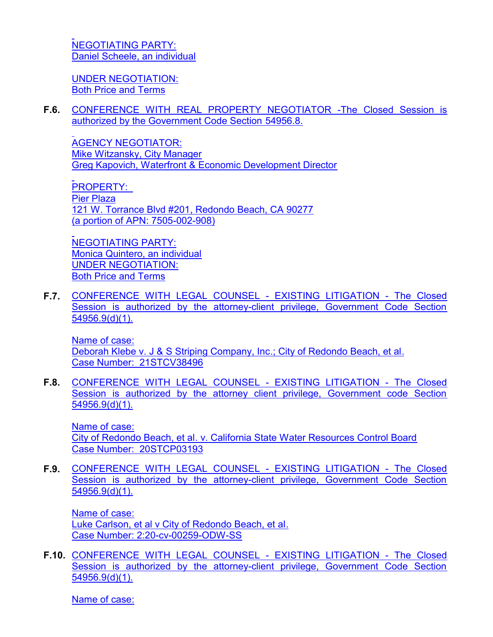NEGOTIATING PARTY: [Daniel Scheele, an individual](http://redondo.legistar.com/gateway.aspx?m=l&id=/matter.aspx?key=5807)

UNDER NEGOTIATION: Both Price and Terms

**F.6.** [CONFERENCE WITH REAL PROPERTY NEGOTIATOR -The Closed Session is](http://redondo.legistar.com/gateway.aspx?m=l&id=/matter.aspx?key=5808) authorized by the Government Code Section 54956.8.

AGENCY NEGOTIATOR: Mike Witzansky, City Manager Greg Kapovich, Waterfront & Economic Development Director

PROPERTY: Pier Plaza 121 W. Torrance Blvd #201, Redondo Beach, CA 90277 (a portion of APN: 7505-002-908)

NEGOTIATING PARTY: Monica Quintero, an individual UNDER NEGOTIATION: Both Price and Terms

**F.7.** [CONFERENCE WITH LEGAL COUNSEL - EXISTING LITIGATION - The Closed](http://redondo.legistar.com/gateway.aspx?m=l&id=/matter.aspx?key=5781) Session is authorized by the attorney-client privilege, Government Code Section 54956.9(d)(1).

Name of case: Deborah Klebe v. J & S Striping Company, Inc.; City of Redondo Beach, et al. Case Number: 21STCV38496

**F.8.** [CONFERENCE WITH LEGAL COUNSEL - EXISTING LITIGATION - The Closed](http://redondo.legistar.com/gateway.aspx?m=l&id=/matter.aspx?key=5818) Session is authorized by the attorney client privilege, Government code Section 54956.9(d)(1).

Name of case: City of Redondo Beach, et al. v. California State Water Resources Control Board Case Number: 20STCP03193

**F.9.** [CONFERENCE WITH LEGAL COUNSEL - EXISTING LITIGATION - The Closed](http://redondo.legistar.com/gateway.aspx?m=l&id=/matter.aspx?key=5819) Session is authorized by the attorney-client privilege, Government Code Section 54956.9(d)(1).

Name of case: Luke Carlson, et al v City of Redondo Beach, et al. Case Number: 2:20-cv-00259-ODW-SS

**F.10.** [CONFERENCE WITH LEGAL COUNSEL - EXISTING LITIGATION - The Closed](http://redondo.legistar.com/gateway.aspx?m=l&id=/matter.aspx?key=5820) Session is authorized by the attorney-client privilege, Government Code Section 54956.9(d)(1).

Name of case: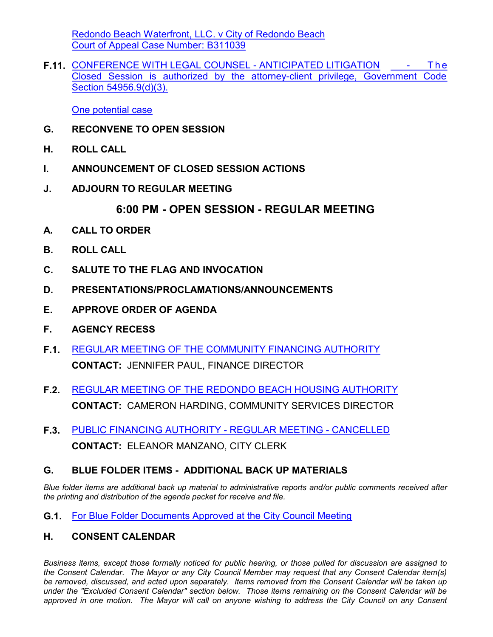[Redondo Beach Waterfront, LLC. v City of Redondo Beach](http://redondo.legistar.com/gateway.aspx?m=l&id=/matter.aspx?key=5820) Court of Appeal Case Number: B311039

**F.11.** [CONFERENCE WITH LEGAL COUNSEL - ANTICIPATED LITIGATION - T h e](http://redondo.legistar.com/gateway.aspx?m=l&id=/matter.aspx?key=5821) Closed Session is authorized by the attorney-client privilege, Government Code Section 54956.9(d)(3).

One potential case

- **G. RECONVENE TO OPEN SESSION**
- **H. ROLL CALL**
- **I. ANNOUNCEMENT OF CLOSED SESSION ACTIONS**
- **J. ADJOURN TO REGULAR MEETING**

# **6:00 PM - OPEN SESSION - REGULAR MEETING**

- **A. CALL TO ORDER**
- **B. ROLL CALL**
- **C. SALUTE TO THE FLAG AND INVOCATION**
- **D. PRESENTATIONS/PROCLAMATIONS/ANNOUNCEMENTS**
- **E. APPROVE ORDER OF AGENDA**
- **F. AGENCY RECESS**
- **F.1.** [REGULAR MEETING OF THE COMMUNITY FINANCING AUTHORITY](http://redondo.legistar.com/gateway.aspx?m=l&id=/matter.aspx?key=5585) **CONTACT:** JENNIFER PAUL, FINANCE DIRECTOR
- **F.2.** [REGULAR MEETING OF THE REDONDO BEACH HOUSING AUTHORITY](http://redondo.legistar.com/gateway.aspx?m=l&id=/matter.aspx?key=5796) **CONTACT:** CAMERON HARDING, COMMUNITY SERVICES DIRECTOR
- **F.3.** [PUBLIC FINANCING AUTHORITY REGULAR MEETING CANCELLED](http://redondo.legistar.com/gateway.aspx?m=l&id=/matter.aspx?key=5760) **CONTACT:** ELEANOR MANZANO, CITY CLERK

# **G. BLUE FOLDER ITEMS - ADDITIONAL BACK UP MATERIALS**

*Blue folder items are additional back up material to administrative reports and/or public comments received after the printing and distribution of the agenda packet for receive and file.*

**G.1.** [For Blue Folder Documents Approved at the City Council Meeting](http://redondo.legistar.com/gateway.aspx?m=l&id=/matter.aspx?key=5756)

## **H. CONSENT CALENDAR**

*Business items, except those formally noticed for public hearing, or those pulled for discussion are assigned to the Consent Calendar. The Mayor or any City Council Member may request that any Consent Calendar item(s) be removed, discussed, and acted upon separately. Items removed from the Consent Calendar will be taken up under the "Excluded Consent Calendar" section below. Those items remaining on the Consent Calendar will be approved in one motion. The Mayor will call on anyone wishing to address the City Council on any Consent*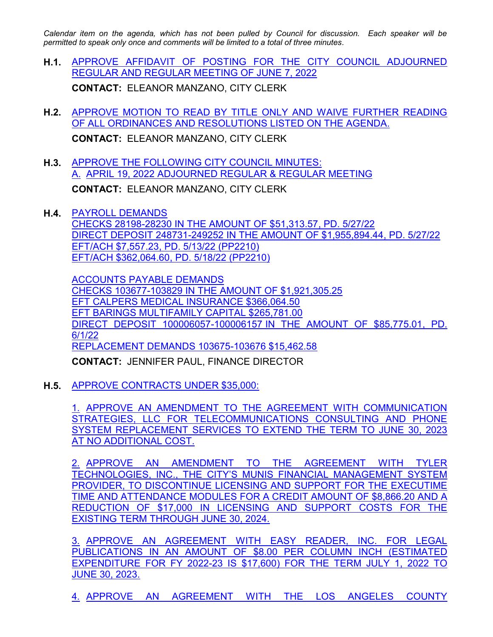*Calendar item on the agenda, which has not been pulled by Council for discussion. Each speaker will be permitted to speak only once and comments will be limited to a total of three minutes.*

- **H.1.** [APPROVE AFFIDAVIT OF POSTING FOR THE CITY COUNCIL ADJOURNED](http://redondo.legistar.com/gateway.aspx?m=l&id=/matter.aspx?key=5757) REGULAR AND REGULAR MEETING OF JUNE 7, 2022 **CONTACT:** ELEANOR MANZANO, CITY CLERK
- **H.2.** [APPROVE MOTION TO READ BY TITLE ONLY AND WAIVE FURTHER READING](http://redondo.legistar.com/gateway.aspx?m=l&id=/matter.aspx?key=5758) OF ALL ORDINANCES AND RESOLUTIONS LISTED ON THE AGENDA. **CONTACT:** ELEANOR MANZANO, CITY CLERK
- **H.3.** [APPROVE THE FOLLOWING CITY COUNCIL MINUTES:](http://redondo.legistar.com/gateway.aspx?m=l&id=/matter.aspx?key=5714) A. APRIL 19, 2022 ADJOURNED REGULAR & REGULAR MEETING **CONTACT:** ELEANOR MANZANO, CITY CLERK
- **H.4.** PAYROLL DEMANDS CHECKS 28198-28230 IN THE AMOUNT OF \$51,313.57, PD. 5/27/22 DIRECT DEPOSIT 248731-249252 IN THE AMOUNT OF \$1,955,894.44, PD. 5/27/22 EFT/ACH \$7,557.23, PD. 5/13/22 (PP2210) EFT/ACH \$362,064.60, PD. 5/18/22 (PP2210)

ACCOUNTS PAYABLE DEMANDS CHECKS 103677-103829 IN THE AMOUNT OF \$1,921,305.25 EFT CALPERS MEDICAL INSURANCE \$366,064.50 EFT BARINGS MULTIFAMILY CAPITAL \$265,781.00 [DIRECT DEPOSIT 100006057-100006157 IN THE AMOUNT OF \\$85,775.01, PD.](http://redondo.legistar.com/gateway.aspx?m=l&id=/matter.aspx?key=5609) 6/1/22 REPLACEMENT DEMANDS 103675-103676 \$15,462.58

**CONTACT:** JENNIFER PAUL, FINANCE DIRECTOR

**H.5.** APPROVE CONTRACTS UNDER \$35,000:

1. APPROVE AN AMENDMENT TO THE AGREEMENT WITH COMMUNICATION [STRATEGIES, LLC FOR TELECOMMUNICATIONS CONSULTING AND PHONE](http://redondo.legistar.com/gateway.aspx?m=l&id=/matter.aspx?key=5541) SYSTEM REPLACEMENT SERVICES TO EXTEND THE TERM TO JUNE 30, 2023 AT NO ADDITIONAL COST.

2. APPROVE AN AMENDMENT TO THE AGREEMENT WITH TYLER TECHNOLOGIES, INC., THE CITY'S MUNIS FINANCIAL MANAGEMENT SYSTEM PROVIDER, TO DISCONTINUE LICENSING AND SUPPORT FOR THE EXECUTIME TIME AND ATTENDANCE MODULES FOR A CREDIT AMOUNT OF \$8,866.20 AND A REDUCTION OF \$17,000 IN LICENSING AND SUPPORT COSTS FOR THE EXISTING TERM THROUGH JUNE 30, 2024.

3. APPROVE AN AGREEMENT WITH EASY READER, INC. FOR LEGAL PUBLICATIONS IN AN AMOUNT OF \$8.00 PER COLUMN INCH (ESTIMATED EXPENDITURE FOR FY 2022-23 IS \$17,600) FOR THE TERM JULY 1, 2022 TO JUNE 30, 2023.

4. APPROVE AN AGREEMENT WITH THE LOS ANGELES COUNTY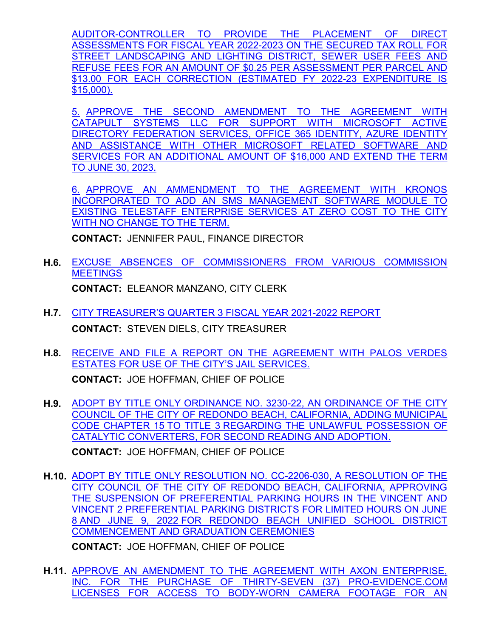[AUDITOR-CONTROLLER TO PROVIDE THE PLACEMENT OF DIRECT](http://redondo.legistar.com/gateway.aspx?m=l&id=/matter.aspx?key=5541) ASSESSMENTS FOR FISCAL YEAR 2022-2023 ON THE SECURED TAX ROLL FOR STREET LANDSCAPING AND LIGHTING DISTRICT, SEWER USER FEES AND REFUSE FEES FOR AN AMOUNT OF \$0.25 PER ASSESSMENT PER PARCEL AND \$13.00 FOR EACH CORRECTION (ESTIMATED FY 2022-23 EXPENDITURE IS \$15,000).

5. APPROVE THE SECOND AMENDMENT TO THE AGREEMENT WITH CATAPULT SYSTEMS LLC FOR SUPPORT WITH MICROSOFT ACTIVE DIRECTORY FEDERATION SERVICES, OFFICE 365 IDENTITY, AZURE IDENTITY AND ASSISTANCE WITH OTHER MICROSOFT RELATED SOFTWARE AND SERVICES FOR AN ADDITIONAL AMOUNT OF \$16,000 AND EXTEND THE TERM TO JUNE 30, 2023.

6. APPROVE AN AMMENDMENT TO THE AGREEMENT WITH KRONOS INCORPORATED TO ADD AN SMS MANAGEMENT SOFTWARE MODULE TO EXISTING TELESTAFF ENTERPRISE SERVICES AT ZERO COST TO THE CITY WITH NO CHANGE TO THE TERM.

**CONTACT:** JENNIFER PAUL, FINANCE DIRECTOR

- **H.6.** [EXCUSE ABSENCES OF COMMISSIONERS FROM VARIOUS COMMISSION](http://redondo.legistar.com/gateway.aspx?m=l&id=/matter.aspx?key=5747) **MEETINGS CONTACT:** ELEANOR MANZANO, CITY CLERK
- **H.7.** [CITY TREASURER'S QUARTER 3 FISCAL YEAR 2021-2022 REPORT](http://redondo.legistar.com/gateway.aspx?m=l&id=/matter.aspx?key=5645) **CONTACT:** STEVEN DIELS, CITY TREASURER
- **H.8.** [RECEIVE AND FILE A REPORT ON THE AGREEMENT WITH PALOS VERDES](http://redondo.legistar.com/gateway.aspx?m=l&id=/matter.aspx?key=5582) ESTATES FOR USE OF THE CITY'S JAIL SERVICES. **CONTACT:** JOE HOFFMAN, CHIEF OF POLICE
- **H.9.** [ADOPT BY TITLE ONLY ORDINANCE NO. 3230-22, AN ORDINANCE OF THE CITY](http://redondo.legistar.com/gateway.aspx?m=l&id=/matter.aspx?key=5722) COUNCIL OF THE CITY OF REDONDO BEACH, CALIFORNIA, ADDING MUNICIPAL CODE CHAPTER 15 TO TITLE 3 REGARDING THE UNLAWFUL POSSESSION OF CATALYTIC CONVERTERS, FOR SECOND READING AND ADOPTION.

**CONTACT:** JOE HOFFMAN, CHIEF OF POLICE

**H.10.** [ADOPT BY TITLE ONLY RESOLUTION NO. CC-2206-030, A RESOLUTION OF THE](http://redondo.legistar.com/gateway.aspx?m=l&id=/matter.aspx?key=5745) CITY COUNCIL OF THE CITY OF REDONDO BEACH, CALIFORNIA, APPROVING THE SUSPENSION OF PREFERENTIAL PARKING HOURS IN THE VINCENT AND VINCENT 2 PREFERENTIAL PARKING DISTRICTS FOR LIMITED HOURS ON JUNE 8 AND JUNE 9, 2022 FOR REDONDO BEACH UNIFIED SCHOOL DISTRICT COMMENCEMENT AND GRADUATION CEREMONIES

**CONTACT:** JOE HOFFMAN, CHIEF OF POLICE

**H.11.** APPROVE AN AMENDMENT TO THE AGREEMENT WITH AXON ENTERPRISE, [INC. FOR THE PURCHASE OF THIRTY-SEVEN \(37\) PRO-EVIDENCE.COM](http://redondo.legistar.com/gateway.aspx?m=l&id=/matter.aspx?key=5709) LICENSES FOR ACCESS TO BODY-WORN CAMERA FOOTAGE FOR AN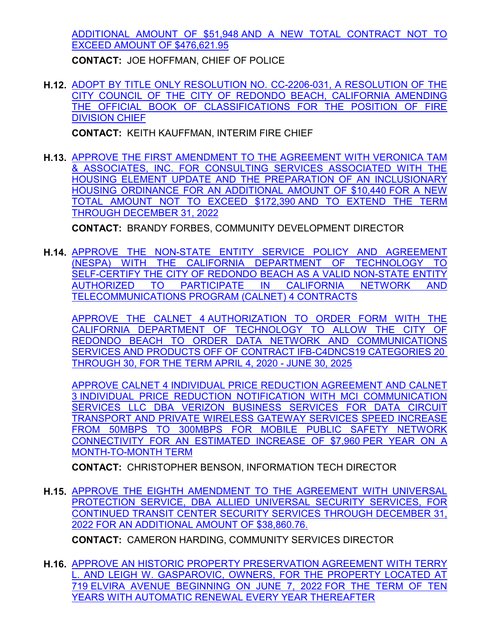[ADDITIONAL AMOUNT OF \\$51,948 AND A NEW TOTAL CONTRACT NOT TO](http://redondo.legistar.com/gateway.aspx?m=l&id=/matter.aspx?key=5709) EXCEED AMOUNT OF \$476,621.95

**CONTACT:** JOE HOFFMAN, CHIEF OF POLICE

**H.12.** [ADOPT BY TITLE ONLY RESOLUTION NO. CC-2206-031, A RESOLUTION OF THE](http://redondo.legistar.com/gateway.aspx?m=l&id=/matter.aspx?key=5690) CITY COUNCIL OF THE CITY OF REDONDO BEACH, CALIFORNIA AMENDING THE OFFICIAL BOOK OF CLASSIFICATIONS FOR THE POSITION OF FIRE DIVISION CHIEF

**CONTACT:** KEITH KAUFFMAN, INTERIM FIRE CHIEF

**H.13.** [APPROVE THE FIRST AMENDMENT TO THE AGREEMENT WITH VERONICA TAM](http://redondo.legistar.com/gateway.aspx?m=l&id=/matter.aspx?key=5633) & ASSOCIATES, INC. FOR CONSULTING SERVICES ASSOCIATED WITH THE HOUSING ELEMENT UPDATE AND THE PREPARATION OF AN INCLUSIONARY HOUSING ORDINANCE FOR AN ADDITIONAL AMOUNT OF \$10,440 FOR A NEW TOTAL AMOUNT NOT TO EXCEED \$172,390 AND TO EXTEND THE TERM THROUGH DECEMBER 31, 2022

**CONTACT:** BRANDY FORBES, COMMUNITY DEVELOPMENT DIRECTOR

**H.14.** [APPROVE THE NON-STATE ENTITY SERVICE POLICY AND AGREEMENT](http://redondo.legistar.com/gateway.aspx?m=l&id=/matter.aspx?key=5696) (NESPA) WITH THE CALIFORNIA DEPARTMENT OF TECHNOLOGY TO SELF-CERTIFY THE CITY OF REDONDO BEACH AS A VALID NON-STATE ENTITY AUTHORIZED TO PARTICIPATE IN CALIFORNIA NETWORK AND TELECOMMUNICATIONS PROGRAM (CALNET) 4 CONTRACTS

APPROVE THE CALNET 4 AUTHORIZATION TO ORDER FORM WITH THE CALIFORNIA DEPARTMENT OF TECHNOLOGY TO ALLOW THE CITY OF REDONDO BEACH TO ORDER DATA NETWORK AND COMMUNICATIONS SERVICES AND PRODUCTS OFF OF CONTRACT IFB-C4DNCS19 CATEGORIES 20 THROUGH 30, FOR THE TERM APRIL 4, 2020 - JUNE 30, 2025

APPROVE CALNET 4 INDIVIDUAL PRICE REDUCTION AGREEMENT AND CALNET 3 INDIVIDUAL PRICE REDUCTION NOTIFICATION WITH MCI COMMUNICATION SERVICES LLC DBA VERIZON BUSINESS SERVICES FOR DATA CIRCUIT TRANSPORT AND PRIVATE WIRELESS GATEWAY SERVICES SPEED INCREASE FROM 50MBPS TO 300MBPS FOR MOBILE PUBLIC SAFETY NETWORK CONNECTIVITY FOR AN ESTIMATED INCREASE OF \$7,960 PER YEAR ON A MONTH-TO-MONTH TERM

**CONTACT:** CHRISTOPHER BENSON, INFORMATION TECH DIRECTOR

**H.15.** [APPROVE THE EIGHTH AMENDMENT TO THE AGREEMENT WITH UNIVERSAL](http://redondo.legistar.com/gateway.aspx?m=l&id=/matter.aspx?key=5724) PROTECTION SERVICE, DBA ALLIED UNIVERSAL SECURITY SERVICES, FOR CONTINUED TRANSIT CENTER SECURITY SERVICES THROUGH DECEMBER 31, 2022 FOR AN ADDITIONAL AMOUNT OF \$38,860.76.

**CONTACT:** CAMERON HARDING, COMMUNITY SERVICES DIRECTOR

**H.16.** [APPROVE AN HISTORIC PROPERTY PRESERVATION AGREEMENT WITH TERRY](http://redondo.legistar.com/gateway.aspx?m=l&id=/matter.aspx?key=5753) L. AND LEIGH W. GASPAROVIC, OWNERS, FOR THE PROPERTY LOCATED AT 719 ELVIRA AVENUE BEGINNING ON JUNE 7, 2022 FOR THE TERM OF TEN YEARS WITH AUTOMATIC RENEWAL EVERY YEAR THEREAFTER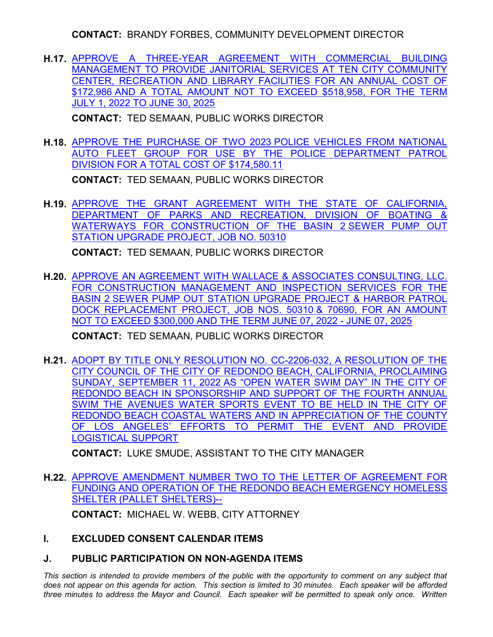**CONTACT:** BRANDY FORBES, COMMUNITY DEVELOPMENT DIRECTOR

**H.17.** [APPROVE A THREE-YEAR AGREEMENT WITH COMMERCIAL BUILDING](http://redondo.legistar.com/gateway.aspx?m=l&id=/matter.aspx?key=5761) MANAGEMENT TO PROVIDE JANITORIAL SERVICES AT TEN CITY COMMUNITY CENTER, RECREATION AND LIBRARY FACILITIES FOR AN ANNUAL COST OF \$172,986 AND A TOTAL AMOUNT NOT TO EXCEED \$518,958, FOR THE TERM JULY 1, 2022 TO JUNE 30, 2025

**CONTACT:** TED SEMAAN, PUBLIC WORKS DIRECTOR

**H.18.** APPROVE THE PURCHASE OF TWO 2023 POLICE VEHICLES FROM NATIONAL [AUTO FLEET GROUP FOR USE BY THE POLICE DEPARTMENT PATROL](http://redondo.legistar.com/gateway.aspx?m=l&id=/matter.aspx?key=5772) DIVISION FOR A TOTAL COST OF \$174,580.11

**CONTACT:** TED SEMAAN, PUBLIC WORKS DIRECTOR

**H.19.** [APPROVE THE GRANT AGREEMENT WITH THE STATE OF CALIFORNIA,](http://redondo.legistar.com/gateway.aspx?m=l&id=/matter.aspx?key=5800) DEPARTMENT OF PARKS AND RECREATION, DIVISION OF BOATING & WATERWAYS FOR CONSTRUCTION OF THE BASIN 2 SEWER PUMP OUT STATION UPGRADE PROJECT, JOB NO. 50310

**CONTACT:** TED SEMAAN, PUBLIC WORKS DIRECTOR

**H.20.** [APPROVE AN AGREEMENT WITH WALLACE & ASSOCIATES CONSULTING, LLC.](http://redondo.legistar.com/gateway.aspx?m=l&id=/matter.aspx?key=5776) FOR CONSTRUCTION MANAGEMENT AND INSPECTION SERVICES FOR THE BASIN 2 SEWER PUMP OUT STATION UPGRADE PROJECT & HARBOR PATROL DOCK REPLACEMENT PROJECT, JOB NOS. 50310 & 70690, FOR AN AMOUNT NOT TO EXCEED \$300,000 AND THE TERM JUNE 07, 2022 - JUNE 07, 2025

**CONTACT:** TED SEMAAN, PUBLIC WORKS DIRECTOR

**H.21.** [ADOPT BY TITLE ONLY RESOLUTION NO. CC-2206-032, A RESOLUTION OF THE](http://redondo.legistar.com/gateway.aspx?m=l&id=/matter.aspx?key=5789) CITY COUNCIL OF THE CITY OF REDONDO BEACH, CALIFORNIA, PROCLAIMING SUNDAY, SEPTEMBER 11, 2022 AS "OPEN WATER SWIM DAY" IN THE CITY OF REDONDO BEACH IN SPONSORSHIP AND SUPPORT OF THE FOURTH ANNUAL SWIM THE AVENUES WATER SPORTS EVENT TO BE HELD IN THE CITY OF REDONDO BEACH COASTAL WATERS AND IN APPRECIATION OF THE COUNTY OF LOS ANGELES' EFFORTS TO PERMIT THE EVENT AND PROVIDE LOGISTICAL SUPPORT

**CONTACT:** LUKE SMUDE, ASSISTANT TO THE CITY MANAGER

**H.22.** [APPROVE AMENDMENT NUMBER TWO TO THE LETTER OF AGREEMENT FOR](http://redondo.legistar.com/gateway.aspx?m=l&id=/matter.aspx?key=5823) FUNDING AND OPERATION OF THE REDONDO BEACH EMERGENCY HOMELESS SHELTER (PALLET SHELTERS)--

**CONTACT:** MICHAEL W. WEBB, CITY ATTORNEY

- **I. EXCLUDED CONSENT CALENDAR ITEMS**
- **J. PUBLIC PARTICIPATION ON NON-AGENDA ITEMS**

This section is intended to provide members of the public with the opportunity to comment on any subject that *does not appear on this agenda for action. This section is limited to 30 minutes. Each speaker will be afforded three minutes to address the Mayor and Council. Each speaker will be permitted to speak only once. Written*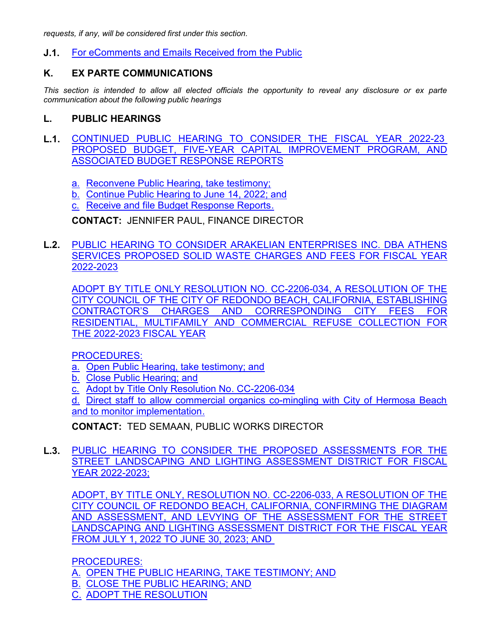*requests, if any, will be considered first under this section.*

**J.1.** [For eComments and Emails Received from the Public](http://redondo.legistar.com/gateway.aspx?m=l&id=/matter.aspx?key=5759)

# **K. EX PARTE COMMUNICATIONS**

*This section is intended to allow all elected officials the opportunity to reveal any disclosure or ex parte communication about the following public hearings*

#### **L. PUBLIC HEARINGS**

- **L.1.** [CONTINUED PUBLIC HEARING TO CONSIDER THE FISCAL YEAR 2022-23](http://redondo.legistar.com/gateway.aspx?m=l&id=/matter.aspx?key=5750)  PROPOSED BUDGET, FIVE-YEAR CAPITAL IMPROVEMENT PROGRAM, AND ASSOCIATED BUDGET RESPONSE REPORTS
	- a. Reconvene Public Hearing, take testimony;
	- b. Continue Public Hearing to June 14, 2022; and
	- c. Receive and file Budget Response Reports.

# **CONTACT:** JENNIFER PAUL, FINANCE DIRECTOR

**L.2.** [PUBLIC HEARING TO CONSIDER ARAKELIAN ENTERPRISES INC. DBA ATHENS](http://redondo.legistar.com/gateway.aspx?m=l&id=/matter.aspx?key=5670) SERVICES PROPOSED SOLID WASTE CHARGES AND FEES FOR FISCAL YEAR 2022-2023

ADOPT BY TITLE ONLY RESOLUTION NO. CC-2206-034, A RESOLUTION OF THE CITY COUNCIL OF THE CITY OF REDONDO BEACH, CALIFORNIA, ESTABLISHING CONTRACTOR'S CHARGES AND CORRESPONDING CITY FEES FOR RESIDENTIAL, MULTIFAMILY AND COMMERCIAL REFUSE COLLECTION FOR THE 2022-2023 FISCAL YEAR

PROCEDURES:

- a. Open Public Hearing, take testimony; and
- b. Close Public Hearing; and
- c. Adopt by Title Only Resolution No. CC-2206-034

d. Direct staff to allow commercial organics co-mingling with City of Hermosa Beach and to monitor implementation.

**CONTACT:** TED SEMAAN, PUBLIC WORKS DIRECTOR

**L.3.** [PUBLIC HEARING TO CONSIDER THE PROPOSED ASSESSMENTS FOR THE](http://redondo.legistar.com/gateway.aspx?m=l&id=/matter.aspx?key=5775) STREET LANDSCAPING AND LIGHTING ASSESSMENT DISTRICT FOR FISCAL YEAR 2022-2023;

ADOPT, BY TITLE ONLY, RESOLUTION NO. CC-2206-033, A RESOLUTION OF THE CITY COUNCIL OF REDONDO BEACH, CALIFORNIA, CONFIRMING THE DIAGRAM AND ASSESSMENT, AND LEVYING OF THE ASSESSMENT FOR THE STREET LANDSCAPING AND LIGHTING ASSESSMENT DISTRICT FOR THE FISCAL YEAR FROM JULY 1, 2022 TO JUNE 30, 2023; AND

PROCEDURES:

- A. OPEN THE PUBLIC HEARING, TAKE TESTIMONY; AND
- B. CLOSE THE PUBLIC HEARING; AND
- C. ADOPT THE RESOLUTION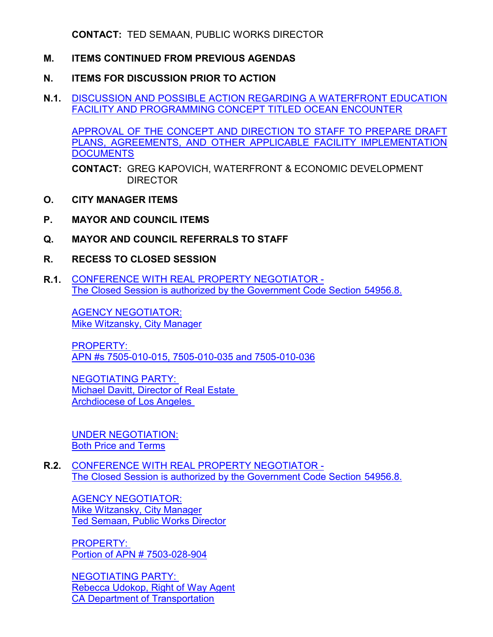**CONTACT:** TED SEMAAN, PUBLIC WORKS DIRECTOR

# **M. ITEMS CONTINUED FROM PREVIOUS AGENDAS**

## **N. ITEMS FOR DISCUSSION PRIOR TO ACTION**

**N.1.** [DISCUSSION AND POSSIBLE ACTION REGARDING A WATERFRONT EDUCATION](http://redondo.legistar.com/gateway.aspx?m=l&id=/matter.aspx?key=5792) FACILITY AND PROGRAMMING CONCEPT TITLED OCEAN ENCOUNTER

APPROVAL OF THE CONCEPT AND DIRECTION TO STAFF TO PREPARE DRAFT PLANS, AGREEMENTS, AND OTHER APPLICABLE FACILITY IMPLEMENTATION **DOCUMENTS** 

CONTACT: GREG KAPOVICH, WATERFRONT & ECONOMIC DEVELOPMENT DIRECTOR

- **O. CITY MANAGER ITEMS**
- **P. MAYOR AND COUNCIL ITEMS**
- **Q. MAYOR AND COUNCIL REFERRALS TO STAFF**
- **R. RECESS TO CLOSED SESSION**
- **R.1.** CONFERENCE WITH REAL PROPERTY NEGOTIATOR [The Closed Session is authorized by the Government Code Section 54956.8.](http://redondo.legistar.com/gateway.aspx?m=l&id=/matter.aspx?key=5778)

AGENCY NEGOTIATOR: Mike Witzansky, City Manager

PROPERTY: APN #s 7505-010-015, 7505-010-035 and 7505-010-036

NEGOTIATING PARTY: Michael Davitt, Director of Real Estate Archdiocese of Los Angeles

UNDER NEGOTIATION: Both Price and Terms

**R.2.** CONFERENCE WITH REAL PROPERTY NEGOTIATOR - [The Closed Session is authorized by the Government Code Section 54956.8.](http://redondo.legistar.com/gateway.aspx?m=l&id=/matter.aspx?key=5783)

AGENCY NEGOTIATOR: Mike Witzansky, City Manager Ted Semaan, Public Works Director

PROPERTY: Portion of APN # 7503-028-904

NEGOTIATING PARTY: Rebecca Udokop, Right of Way Agent CA Department of Transportation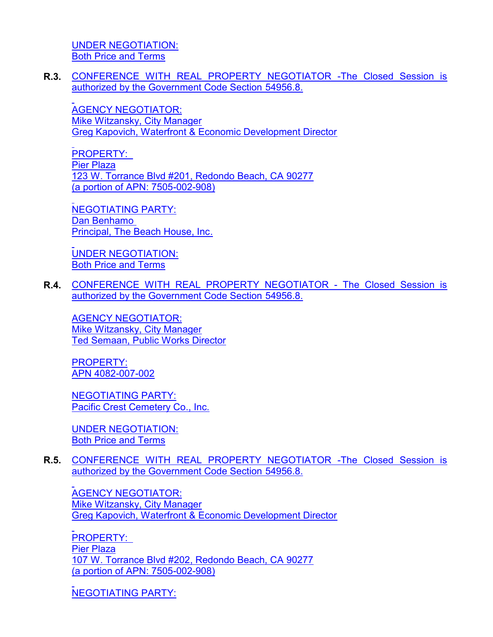[UNDER NEGOTIATION:](http://redondo.legistar.com/gateway.aspx?m=l&id=/matter.aspx?key=5783) Both Price and Terms

**R.3.** [CONFERENCE WITH REAL PROPERTY NEGOTIATOR -The Closed Session is](http://redondo.legistar.com/gateway.aspx?m=l&id=/matter.aspx?key=5802) authorized by the Government Code Section 54956.8.

AGENCY NEGOTIATOR: Mike Witzansky, City Manager Greg Kapovich, Waterfront & Economic Development Director

PROPERTY: Pier Plaza 123 W. Torrance Blvd #201, Redondo Beach, CA 90277 (a portion of APN: 7505-002-908)

NEGOTIATING PARTY: Dan Benhamo Principal, The Beach House, Inc.

UNDER NEGOTIATION: Both Price and Terms

**R.4.** [CONFERENCE WITH REAL PROPERTY NEGOTIATOR - The Closed Session is](http://redondo.legistar.com/gateway.aspx?m=l&id=/matter.aspx?key=5805) authorized by the Government Code Section 54956.8.

AGENCY NEGOTIATOR: Mike Witzansky, City Manager Ted Semaan, Public Works Director

PROPERTY: APN 4082-007-002

NEGOTIATING PARTY: Pacific Crest Cemetery Co., Inc.

UNDER NEGOTIATION: Both Price and Terms

**R.5.** [CONFERENCE WITH REAL PROPERTY NEGOTIATOR -The Closed Session is](http://redondo.legistar.com/gateway.aspx?m=l&id=/matter.aspx?key=5807) authorized by the Government Code Section 54956.8.

AGENCY NEGOTIATOR: Mike Witzansky, City Manager Greg Kapovich, Waterfront & Economic Development Director

PROPERTY: Pier Plaza 107 W. Torrance Blvd #202, Redondo Beach, CA 90277 (a portion of APN: 7505-002-908)

NEGOTIATING PARTY: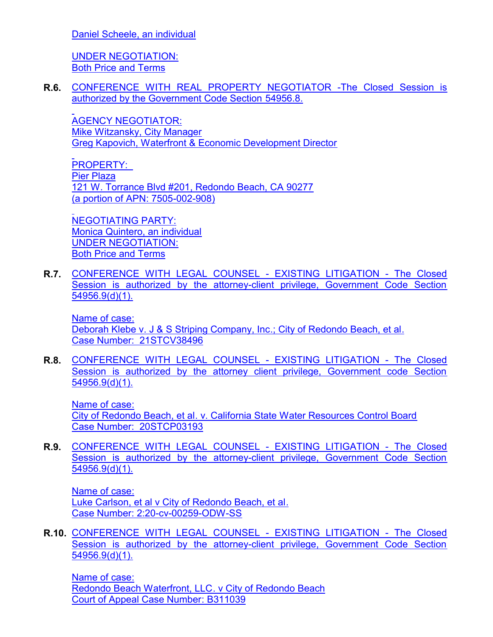[Daniel Scheele, an individual](http://redondo.legistar.com/gateway.aspx?m=l&id=/matter.aspx?key=5807)

UNDER NEGOTIATION: Both Price and Terms

**R.6.** [CONFERENCE WITH REAL PROPERTY NEGOTIATOR -The Closed Session is](http://redondo.legistar.com/gateway.aspx?m=l&id=/matter.aspx?key=5808) authorized by the Government Code Section 54956.8.

AGENCY NEGOTIATOR: Mike Witzansky, City Manager Greg Kapovich, Waterfront & Economic Development Director

PROPERTY: Pier Plaza 121 W. Torrance Blvd #201, Redondo Beach, CA 90277 (a portion of APN: 7505-002-908)

NEGOTIATING PARTY: Monica Quintero, an individual UNDER NEGOTIATION: Both Price and Terms

**R.7.** [CONFERENCE WITH LEGAL COUNSEL - EXISTING LITIGATION - The Closed](http://redondo.legistar.com/gateway.aspx?m=l&id=/matter.aspx?key=5781) Session is authorized by the attorney-client privilege, Government Code Section 54956.9(d)(1).

Name of case: Deborah Klebe v. J & S Striping Company, Inc.; City of Redondo Beach, et al. Case Number: 21STCV38496

**R.8.** [CONFERENCE WITH LEGAL COUNSEL - EXISTING LITIGATION - The Closed](http://redondo.legistar.com/gateway.aspx?m=l&id=/matter.aspx?key=5818) Session is authorized by the attorney client privilege, Government code Section 54956.9(d)(1).

Name of case: City of Redondo Beach, et al. v. California State Water Resources Control Board Case Number: 20STCP03193

**R.9.** [CONFERENCE WITH LEGAL COUNSEL - EXISTING LITIGATION - The Closed](http://redondo.legistar.com/gateway.aspx?m=l&id=/matter.aspx?key=5819) Session is authorized by the attorney-client privilege, Government Code Section 54956.9(d)(1).

Name of case: Luke Carlson, et al v City of Redondo Beach, et al. Case Number: 2:20-cv-00259-ODW-SS

**R.10.** [CONFERENCE WITH LEGAL COUNSEL - EXISTING LITIGATION - The Closed](http://redondo.legistar.com/gateway.aspx?m=l&id=/matter.aspx?key=5820) Session is authorized by the attorney-client privilege, Government Code Section 54956.9(d)(1).

Name of case: Redondo Beach Waterfront, LLC. v City of Redondo Beach Court of Appeal Case Number: B311039